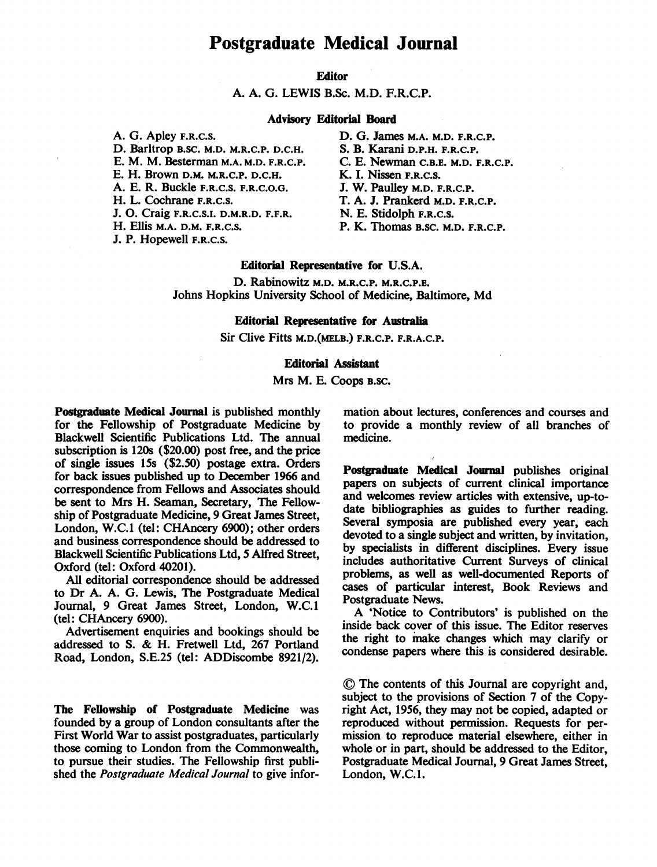## Postgraduate Medical Journal

## Editor

A. A. G. LEWIS B.Sc. M.D. F.R.C.P.

### Advisory Editorial Board

A. G. Apley F.R.C.S. D. Barltrop B.SC. M.D. M.R.C.P. D.C.H. E. M. M. Besterman M.A. M.D. F.R.C.P. E. H. Brown D.M. M.R.C.P. D.C.H. A. E. R. Buckle F.R.C.S. F.R.C.O.G. H. L. Cochrane F.R.C.S. J. 0. Craig F.R.C.S.I. D.M.R.D. F.F.R. H. Ellis M.A. D.M. F.R.C.S.

J. P. Hopewell F.R.C.S.

D. G. James M.A. M.D. F.R.C.P. S. B. Karani D.P.H. F.R.C.P. C. E. Newman C.B.E. M.D. F.R.C.P. K. I. Nissen F.R.C.S. J. W. Paulley M.D. F.R.C.P. T. A. J. Prankerd M.D. F.R.C.P.

N. E. Stidolph F.R.C.S.

P. K. Thomas B.SC. M.D. F.R.C.P.

## Editorial Representative for U.S.A.

D. Rabinowitz M.D. M.R.C.P. M.R.C.P.E. Johns Hopkins University School of Medicine, Baltimore, Md

## Editorial Representative for Australia

Sir Clive Fitts M.D.(MELB.) F.R.C.P. F.R.A.C.P.

## Editorial Assitant

## Mrs M. E. Coops B.SC.

Postgraduate Medical Journal is published monthly for the Fellowship of Postgraduate Medicine by Blackwell Scientific Publications Ltd. The annual subscription is 120s (\$20.00) post free, and the price of single issues l5s (\$2.50) postage extra. Orders for back issues published up to December 1966 and correspondence from Fellows and Associates should be sent to Mrs H. Seaman, Secretary, The Fellowship of Postgraduate Medicine, 9 Great James Street, London, W.C.1 (tel: CHAncery 6900); other orders and business correspondence should be addressed to Blackwell Scientific Publications Ltd, 5 Alfred Street, Oxford (tel: Oxford 40201).

All editorial correspondence should be addressed to Dr A. A. G. Lewis, The Postgraduate Medical Journal, 9 Great James Street, London, W.C.1 (tel: CHAncery 6900).

Advertisement enquiries and bookings should be addressed to S. & H. Fretwell Ltd, <sup>267</sup> Portland Road, London, S.E.25 (tel: ADDiscombe 8921/2).

The Fellowship of Postgraduate Medicine was founded by a group of London consultants after the First World War to assist postgraduates, particularly those coming to London from the Commonwealth, to pursue their studies. The Fellowship first published the Postgraduate Medical Journal to give information about lectures, conferences and courses and to provide a monthly review of all branches of medicine.

Postgraduate Medical Journal publishes original papers on subjects of current clinical importance and welcomes review articles with extensive, up-todate bibliographies as guides to further reading. Several symposia are published every year, each devoted to a single subject and written, by invitation, by specialists in different disciplines. Every issue includes authoritative Current Surveys of clinical problems, as well as well-documented Reports of cases of particular interest, Book Reviews and Postgraduate News.

A 'Notice to Contributors' is published on the inside back cover of this issue. The Editor reserves the right to make changes which may clarify or condense papers where this is considered desirable.

(D The contents of this Journal are copyright and, subject to the provisions of Section 7 of the Copyright Act, 1956, they may not be copied, adapted or reproduced without permission. Requests for permission to reproduce material elsewhere, either in whole or in part, should be addressed to the Editor, Postgraduate Medical Journal, 9 Great James Street, London, W.C.1.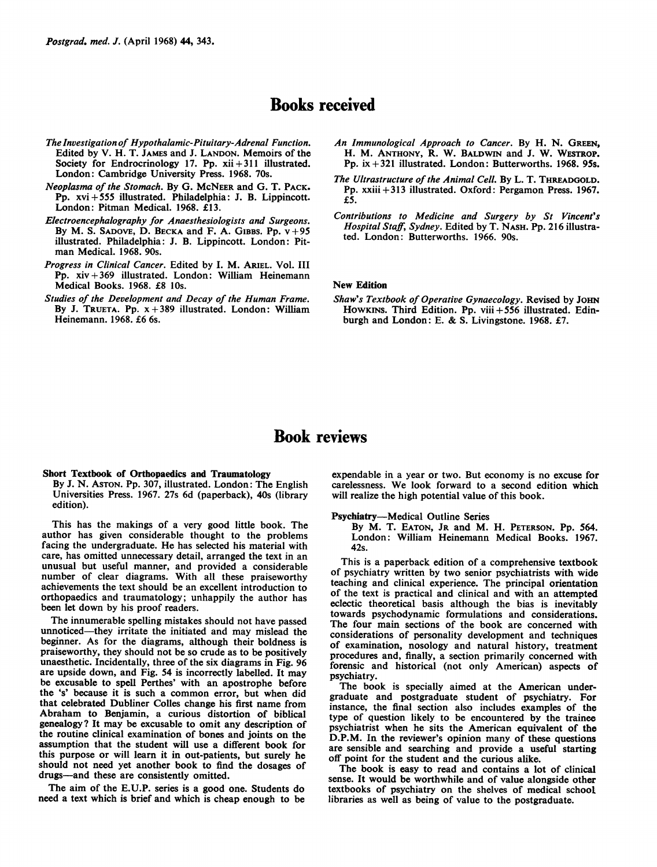Postgrad. med. J. (April 1968) 44, 343.

## Books received

- The Investigation of Hypothalamic-Pituitary-Adrenal Function. Edited by V. H. T. JAMES and J. LANDON. Memoirs of the Society for Endrocrinology 17. Pp. xii + 311 illustrated. London: Cambridge University Press. 1968. 70s.
- Neoplasma of the Stomach. By G. MCNEER and G. T. PACK. Pp. xvi+555 illustrated. Philadelphia: J. B. Lippincott. London: Pitman Medical. 1968. £13.
- Electroencephalography for Anaesthesiologists and Surgeons. By M. S. SADOVE, D. BECKA and F. A. GIBBS. Pp.  $v + 95$ illustrated. Philadelphia: J. B. Lippincott. London: Pitman Medical. 1968. 90s.
- Progress in Clinical Cancer. Edited by I. M. ARIEL. Vol. III Pp. xiv+369 illustrated. London: William Heinemann Medical Books. 1968. £8 10s.
- Studies of the Development and Decay of the Human Frame. By J. TRUETA. Pp.  $x + 389$  illustrated. London: William Heinemann. 1968. £6 6s.
- An Immunological Approach to Cancer. By H. N. GREEN, H. M. ANTHONY, R. W. BALDWIN and J. W. WESTROP. Pp. ix+321 illustrated. London: Butterworths. 1968. 95s.
- The Ultrastructure of the Animal Cell. By L. T. THREADGOLD. Pp. xxiii+313 illustrated. Oxford: Pergamon Press. 1967. £5.
- Contributions to Medicine and Surgery by St Vincent's Hospital Staff, Sydney. Edited by T. NASH. Pp. 216 illustrated. London: Butterworths. 1966. 90s.

#### New Edition

Shaw's Textbook of Operative Gynaecology. Revised by JOHN HOWKINS. Third Edition. Pp. viii +556 illustrated. Edinburgh and London: E. & S. Livingstone. 1968. £7.

## Book reviews

#### Short Textbook of Orthopaedics and Traumatology

By J. N. ASTON. Pp. 307, illustrated. London: The English Universities Press. 1967. 27s 6d (paperback), 40s (library edition).

This has the makings of a very good little book. The author has given considerable thought to the problems facing the undergraduate. He has selected his material with care, has omitted unnecessary detail, arranged the text in an unusual but useful manner, and provided a considerable number of clear diagrams. With all these praiseworthy achievements the text should be an excellent introduction to orthopaedics and traumatology; unhappily the author has been let down by his proof readers.

The innumerable spelling mistakes should not have passed unnoticed-they irritate the initiated and may mislead the beginner. As for the diagrams, although their boldness is praiseworthy, they should not be so crude as to be positively unaesthetic. Incidentally, three of the six diagrams in Fig. 96 are upside down, and Fig. 54 is incorrectly labelled. It may be excusable to spell Perthes' with an apostrophe before the 's' because it is such a common error, but when did that celebrated Dubliner Colles change his first name from Abraham to Benjamin, a curious distortion of biblical genealogy? It may be excusable to omit any description of the routine clinical examination of bones and joints on the assumption that the student will use a different book for this purpose or will learn it in out-patients, but surely he should not need yet another book to find the dosages of drugs-and these are consistently omitted.

The aim of the E.U.P. series is a good one. Students do need a text which is brief and which is cheap enough to be expendable in a year or two. But economy is no excuse for carelessness. We look forward to <sup>a</sup> second edition which will realize the high potential value of this book.

Psychiatry-Medical Outline Series

By M. T. EATON, JR and M. H. PETERSON. Pp. 564. London: William Heinemann Medical Books. 1967. 42s.

This is a paperback edition of a comprehensive textbook of psychiatry written by two senior psychiatrists with wide teaching and clinical experience. The principal orientation of the text is practical and clinical and with an attempted eclectic theoretical basis although the bias is inevitably towards psychodynamic formulations and considerations. The four main sections of the book are concerned with considerations of personality development and techniques of examination, nosology and natural history, treatment procedures and, finally, a section primarily concerned with forensic and historical (not only American) aspects of psychiatry.

The book is specially aimed at the American undergraduate and postgraduate student of psychiatry. For instance, the final section also includes examples of the type of question likely to be encountered by the trainee psychiatrist when he sits the American equivalent of the D.P.M. In the reviewer's opinion many of these questions are sensible and searching and provide a useful starting off point for the student and the curious alike.

The book is easy to read and contains a lot of clinical sense. It would be worthwhile and of value alongside other textbooks of psychiatry on the shelves of medical school libraries as well as being of value to the postgraduate.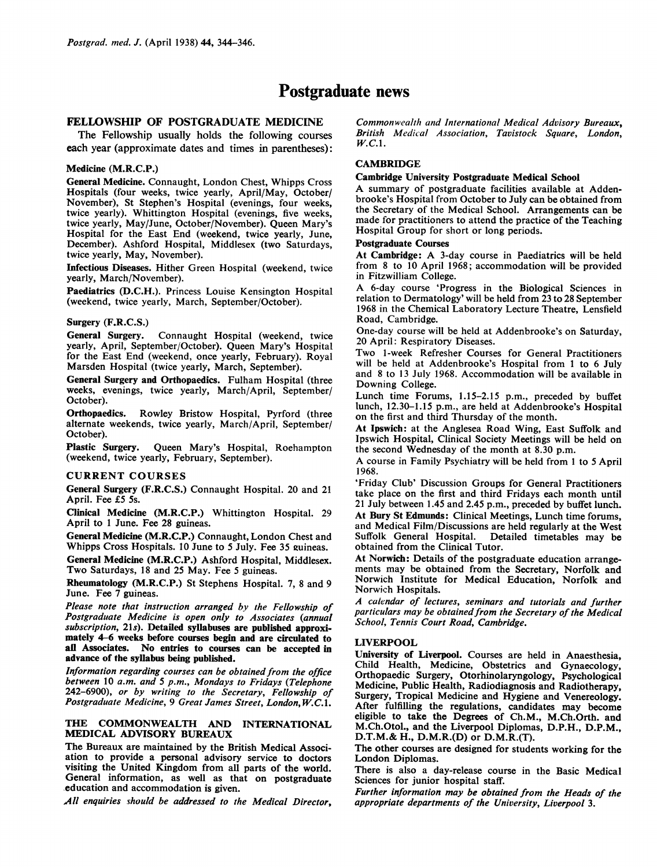## Postgraduate news

## FELLOWSHIP OF POSTGRADUATE MEDICINE

The Fellowship usually holds the following courses each year (approximate dates and times in parentheses):

#### Medicine (M.R.C.P.)

General Medicine. Connaught, London Chest, Whipps Cross Hospitals (four weeks, twice yearly, April/May, October/ November), St Stephen's Hospital (evenings, four weeks, twice yearly). Whittington Hospital (evenings, five weeks, twice yearly, May/June, October/November). Queen Mary's Hospital for the East End (weekend, twice yearly, June, December). Ashford Hospital, Middlesex (two Saturdays, twice yearly, May, November).

Infectious Diseases. Hither Green Hospital (weekend, twice yearly, March/November).

Paediatrics (D.C.H.). Princess Louise Kensington Hospital (weekend, twice yearly, March, September/October).

#### Surgery (F.R.C.S.)

General Surgery. Connaught Hospital (weekend, twice yearly, April, September/October). Queen Mary's Hospital for the East End (weekend, once yearly, February). Royal Marsden Hospital (twice yearly, March, September).

General Surgery and Orthopaedics. Fulham Hospital (three weeks, evenings, twice yearly, March/April, September/ October).

Orthopaedics. Rowley Bristow Hospital, Pyrford (three alternate weekends, twice yearly, March/April, September/ October).<br>Plastic Surgery.

Queen Mary's Hospital, Roehampton (weekend, twice yearly, February, September).

#### CURRENT COURSES

General Surgery (F.R.C.S.) Connaught Hospital. 20 and 21 April. Fee £5 5s.

Clinical Medicine (M.R.C.P.) Whittington Hospital. 29 April to <sup>1</sup> June. Fee 28 guineas.

General Medicine (M.R.C.P.) Connaught, London Chest and Whipps Cross Hospitals. 10 June to 5 July. Fee 35 guineas.

General Medicine (M.R.C.P.) Ashford Hospital, Middlesex. Two Saturdays, <sup>18</sup> and <sup>25</sup> May. Fee <sup>5</sup> guineas.

Rheumatology (M.R.C.P.) St Stephens Hospital. 7, 8 and 9 June. Fee 7 guineas.

Please note that instruction arranged by the Fellowship of Postgraduate Medicine is open only to Associates (annual subscription, 21s). Detailed syllabuses are published approximately 4-6 weeks before courses begin and are circulated to all Associates. No entries to courses can be accepted in advance of the syllabus being published.

Information regarding courses can be obtained from the office between 10 a.m. and 5 p.m., Mondays to Fridays (Telephone 242-6900), or by writing to the Secretary, Fellowship of Postgraduate Medicine, 9 Great James Street, London, W.C.1.

#### THE COMMONWEALTH AND INTERNATIONAL MEDICAL ADVISORY BUREAUX

The Bureaux are maintained by the British Medical Association to provide a personal advisory service to doctors visiting the United Kingdom from all parts of the world. General information, as well as that on postgraduate education and accommodation is given.

All enquiries should be addressed to the Medical Director,

Commonwealth and International Medical Advisory Bureaux, British Medical Association, Tavistock Square, London, W.C.1.

## **CAMBRIDGE**

#### Cambridge University Postgraduate Medical School

A summary of postgraduate facilities available at Addenbrooke's Hospital from October to July can be obtained from the Secretary of the Medical School. Arrangements can be made for practitioners to attend the practice of the Teaching Hospital Group for short or long periods.

## Postgraduate Courses

At Cambridge: A 3-day course in Paediatrics will be held from <sup>8</sup> to 10 April 1968; accommodation will be provided in Fitzwilliam College.

A 6-day course 'Progress in the Biological Sciences in relation to Dermatology' will be held from 23 to 28 September 1968 in the Chemical Laboratory Lecture Theatre, Lensfield Road, Cambridge.

One-day course will be held at Addenbrooke's on Saturday, 20 April: Respiratory Diseases.

Two 1-week Refresher Courses for General Practitioners will be held at Addenbrooke's Hospital from <sup>1</sup> to 6 July and <sup>8</sup> to 13 July 1968. Accommodation will be available in Downing College.

Lunch time Forums, 1.15-2.15 p.m., preceded by buffet lunch, 12.30-1.15 p.m., are held at Addenbrooke's Hospital on the first and third Thursday of the month.

At Ipswich: at the Anglesea Road Wing, East Suffolk and Ipswich Hospital, Clinical Society Meetings will be held on the second Wednesday of the month at 8.30 p.m.

A course in Family Psychiatry will be held from <sup>1</sup> to <sup>5</sup> April 1968.

'Friday Club' Discussion Groups for General Practitioners take place on the first and third Fridays each month until 21 July between 1.45 and 2.45 p.m., preceded by buffet lunch. At Bury St Edmunds: Clinical Meetings, Lunch time forums, and Medical Film/Discussions are held regularly at the West Suffolk General Hospital. Detailed timetables may be obtained from the Clinical Tutor.

At Norwich: Details of the postgraduate education arrangements may be obtained from the Secretary, Norfolk and Norwich Institute for Medical Education, Norfolk and Norwich Hospitals.

A calendar of lectures, seminars and tutorials and further particulars may be obtained from the Secretary of the Medical School, Tennis Court Road, Cambridge.

## LIVERPOOL

University of Liverpool. Courses are held in Anaesthesia, Child Health, Medicine, Obstetrics and Gynaecology, Orthopaedic Surgery, Otorhinolaryngology, Psychological Medicine, Public Health, Radiodiagnosis and Radiotherapy, Surgery, Tropical Medicine and Hygiene and Venereology. After fulifiling the regulations, candidates may become eligible to take the Degrees of Ch.M., M.Ch.Orth. and M.Ch.Otol., and the Liverpool Diplomas, D.P.H., D.P.M., D.T.M.& H., D.M.R.(D) or D.M.R.(T).

The other courses are designed for students working for the London Diplomas.

There is also a day-release course in the Basic Medical Sciences for junior hospital staff.

Further information may be obtained from the Heads of the appropriate departments of the University, Liverpool 3.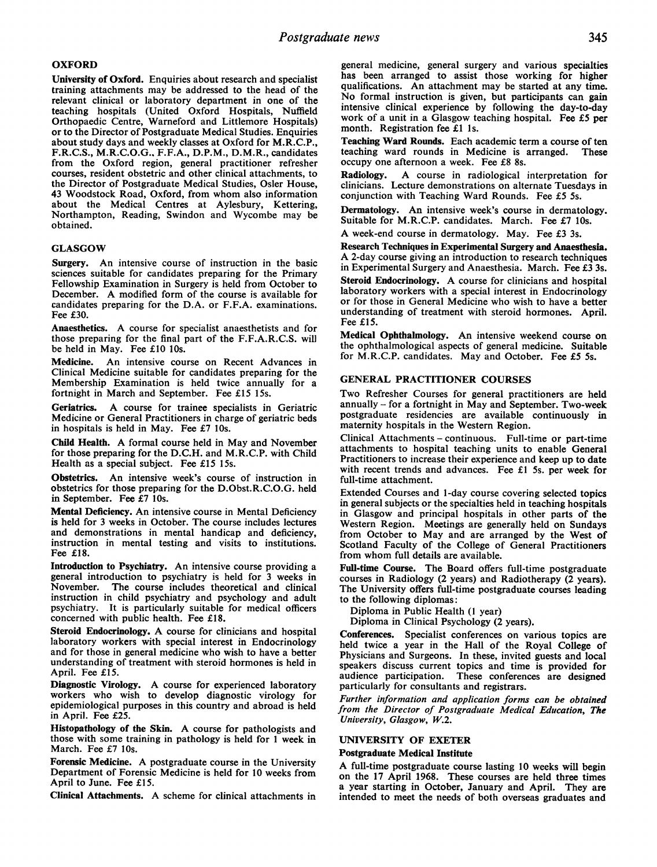## **OXFORD**

University of Oxford. Enquiries about research and specialist training attachments may be addressed to the head of the relevant clinical or laboratory department in one of the teaching hospitals (United Oxford Hospitals, Nuffield Orthopaedic Centre, Warneford and Littlemore Hospitals) or to the Director of Postgraduate Medical Studies. Enquiries about study days and weekly classes at Oxford for M.R.C.P., F.R.C.S., M.R.C.O.G.. F.F.A., D.P.M., D.M.R., candidates from the Oxford region, general practitioner refresher courses, resident obstetric and other clinical attachments, to the Director of Postgraduate Medical Studies, Osler House, 43 Woodstock Road, Oxford, from whom also information about the Medical Centres at Aylesbury, Kettering, Northampton, Reading, Swindon and Wycombe may be obtained.

## GLASGOW

Surgery. An intensive course of instruction in the basic sciences suitable for candidates preparing for the Primary Fellowship Examination in Surgery is held from October to December. A modified form of the course is available for candidates preparing for the D.A. or F.F.A. examinations. Fee £30.

Anaesthetics. A course for specialist anaesthetists and for those preparing for the final part of the F.F.A.R.C.S. will be held in May. Fee £10 10s.

Medicine. An intensive course on Recent Advances in Clinical Medicine suitable for candidates preparing for the Membership Examination is held twice annually for a fortnight in March and September. Fee £15 15s.

Geriatrics. A course for trainee specialists in Geriatric Medicine or General Practitioners in charge of geriatric beds in hospitals is held in May. Fee £7 1Os.

Child Health. A formal course held in May and November for those preparing for the D.C.H. and M.R.C.P. with Child Health as a special subject. Fee £15 15s.

Obstetrics. An intensive week's course of instruction in obstetrics for those preparing for the D.Obst.R.C.O.G. held in September. Fee £7 10s.

Mental Deficiency. An intensive course in Mental Deficiency is held for <sup>3</sup> weeks in October. The course includes lectures and demonstrations in mental handicap and deficiency, instruction in mental testing and visits to institutions. Fee £18.

Introduction to Psychiatry. An intensive course providing a general introduction to psychiatry is held for 3 weeks in November. The course includes theoretical and clinical instruction in child psychiatry and psychology and adult psychiatry. It is particularly suitable for medical officers concerned with public health. Fee £18.

Steroid Endocrinology. A course for clinicians and hospital laboratory workers with special interest in Endocrinology and for those in general medicine who wish to have a better understanding of treatment with steroid hormones is held in April. Fee £15.

Diagnostic Virology. A course for experienced laboratory workers who wish to develop diagnostic virology for epidemiological purposes in this country and abroad is held in April. Fee £25.

Histopathology of the Skin. A course for pathologists and those with some training in pathology is held for <sup>I</sup> week in March. Fee £7 lOs.

Forensic Medicine. A postgraduate course in the University Department of Forensic Medicine is held for 10 weeks from April to June. Fee £15.

Clinical Attachments. A scheme for clinical attachments in

general medicine, general surgery and various specialties has been arranged to assist those working for higher qualifications. An attachment may be started at any time. No formal instruction is given, but participants can gain intensive clinical experience by following the day-to-day work of a unit in a Glasgow teaching hospital. Fee £5 per month. Registration fee £1 Is.

Teaching Ward Rounds. Each academic term a course of ten teaching ward rounds in Medicine is arranged. These occupy one afternoon a week. Fee £8 8s.

Radiology. A course in radiological interpretation for clinicians. Lecture demonstrations on alternate Tuesdays in conjunction with Teaching Ward Rounds. Fee £5 5s.

Dermatology. An intensive week's course in dermatology. Suitable for M.R.C.P. candidates. March. Fee £7 10s.

A week-end course in dermatology. May. Fee £3 3s.

Research Techniques in Experimental Surgery and Anaesthesia. A 2-day course giving an introduction to research techniques in Experimental Surgery and Anaesthesia. March. Fee £3 3s.

Steroid Endocrinology. A course for clinicians and hospital laboratory workers with a special interest in Endocrinology or for those in General Medicine who wish to have a better understanding of treatment with steroid hormones. April. Fee £15.

Medical Ophthalmology. An intensive weekend course on the ophthalmological aspects of general medicine. Suitable for M.R.C.P. candidates. May and October. Fee £5 5s.

#### GENERAL PRACTITIONER COURSES

Two Refresher Courses for general practitioners are held annually - for a fortnight in May and September. Two-week postgraduate residencies are available continuously in maternity hospitals in the Western Region.

Clinical Attachments - continuous. Full-time or part-time attachments to hospital teaching units to enable General Practitioners to increase their experience and keep up to date with recent trends and advances. Fee £1 5s. per week for full-time attachment.

Extended Courses and 1-day course covering selected topics in general subjects or the specialties held in teaching hospitals in Glasgow and principal hospitals in other parts of the Western Region. Meetings are generally held on Sundays from October to May and are arranged by the West of Scotland Faculty of the College of General Practitioners from whom full details are available.

Full-time Course. The Board offers full-time postgraduate courses in Radiology (2 years) and Radiotherapy (2 years). The University offers full-time postgraduate courses leading to the following diplomas:

Diploma in Public Health (1 year)

Diploma in Clinical Psychology (2 years).

Conferences. Specialist conferences on various topics are held twice a year in the Hall of the Royal College of Physicians and Surgeons. In these, invited guests and local speakers discuss current topics and time is provided for audience participation. These conferences are designed particularly for consultants and registrars.

Further information and application forms can be obtained from the Director of Postgraduate Medical Education, The University, Glasgow, W.2.

## UNIVERSITY OF EXETER

#### Postgraduate Medical Institute

A full-time postgraduate course lasting <sup>10</sup> weeks will begin on the 17 April 1968. These courses are held three times a year starting in October, January and April. They are intended to meet the needs of both overseas graduates and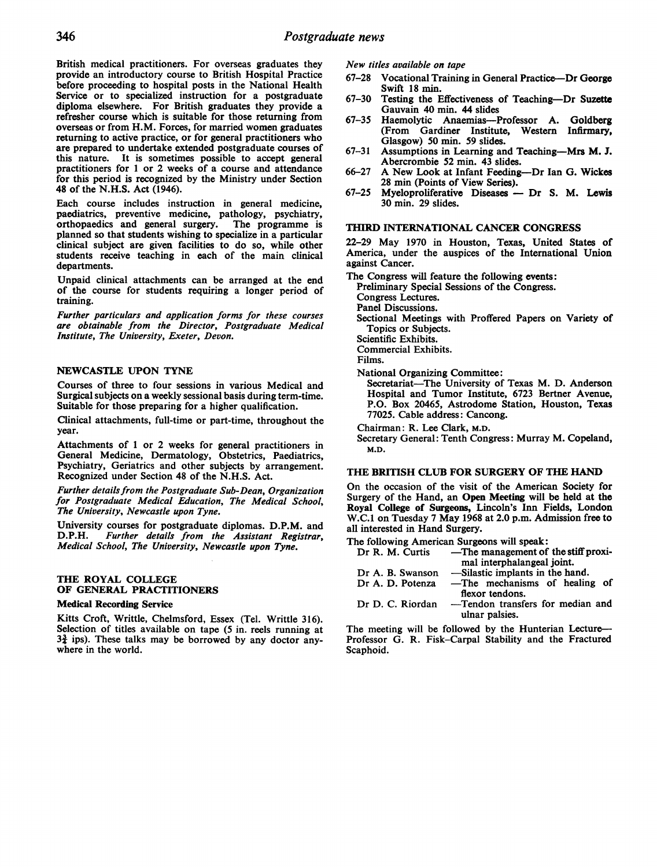British medical practitioners. For overseas graduates they provide an introductory course to British Hospital Practice before proceeding to hospital posts in the National Health Service or to specialized instruction for a postgraduate diploma elsewhere. For British graduates they provide a refresher course which is suitable for those returning from overseas or from H.M. Forces, for married women graduates returning to active practice, or for general practitioners who are prepared to undertake extended postgraduate courses of this nature. It is sometimes possible to accept general practitioners for <sup>1</sup> or 2 weeks of a course and attendance for this period is recognized by the Ministry under Section 48 of the N.H.S. Act (1946).

Each course includes instruction in general medicine, paediatrics, preventive medicine, pathology, psychiatry, orthopaedics and general surgery. The programme is orthopaedics and general surgery. planned so that students wishing to specialize in a particular clinical subject are given facilities to do so, while other students receive teaching in each of the main clinical departments.

Unpaid clinical attachments can be arranged at the end of the course for students requiring a longer period of training.

Further particulars and application forms for these courses are obtainable from the Director, Postgraduate Medical Institute, The University, Exeter, Devon.

#### NEWCASTLE UPON TYNE

Courses of three to four sessions in various Medical and Surgical subjects on a weekly sessional basis during term-time. Suitable for those preparing for a higher qualification.

Clinical attachments, full-time or part-time, throughout the year.

Attachments of <sup>1</sup> or 2 weeks for general practitioners in General Medicine, Dermatology, Obstetrics, Paediatrics, Psychiatry, Geriatrics and other subjects by arrangement. Recognized under Section 48 of the N.H.S. Act.

Further details from the Postgraduate Sub-Dean, Organization for Postgraduate Medical Education, The Medical School, The University, Newcastle upon Tyne.

University courses for postgraduate diplomas. D.P.M. and D.P.H. Further details from the Assistant Registrar. Further details from the Assistant Registrar, Medical School, The University, Newcastle upon Tyne.

#### THE ROYAL COLLEGE OF GENERAL PRACTITIONERS

#### Medical Recording Service

Kitts Croft, Writtle, Chelmsford, Essex (Tel. Writtle 316). Selection of titles available on tape (5 in. reels running at  $3\frac{3}{2}$  ips). These talks may be borrowed by any doctor anywhere in the world.

#### New titles available on tape

- 67-28 Vocational Training in General Practice-Dr George Swift 18 min.
- 67-30 Testing the Effectiveness of Teaching-Dr Suzette Gauvain 40 min. 44 slides
- 67-35 Haemolytic Anaemias-Professor A. Goldberg (From Gardiner Institute, Western Infirmary, Glasgow) 50 min. 59 slides.
- 67-31 Assumptions in Learning and Teaching-Mrs M. J. Abercrombie 52 min. 43 slides.
- 66-27 A New Look at Infant Feeding-Dr Ian G. Wickes 28 min (Points of View Series).
- 67-25 Myeloproliferative Diseases Dr S. M. Lewis 30 min. 29 slides.

## THIRD INTERNATIONAL CANCER CONGRESS

22-29 May 1970 in Houston, Texas, United States of America, under the auspices of the International Union against Cancer.

The Congress will feature the following events:

Preliminary Special Sessions of the Congress.

Congress Lectures.

Panel Discussions.

Sectional Meetings with Proffered Papers on Variety of Topics or Subjects.

Scientific Exhibits.

Commercial Exhibits.

Films.

National Organizing Committee:

Secretariat-The University of Texas M. D. Anderson Hospital and Tumor Institute, 6723 Bertner Avenue, P.O. Box 20465, Astrodome Station, Houston, Texas 77025. Cable address: Cancong.

Chairman: R. Lee Clark, M.D.

Secretary General: Tenth Congress: Murray M. Copeland, M.D.

#### THE BRITISH CLUB FOR SURGERY OF THE HAND

On the occasion of the visit of the American Society for Surgery of the Hand, an Open Meeting will be held at the Royal College of Surgeons, Lincoln's Inn Fields, London W.C.1 on Tuesday <sup>7</sup> May 1968 at 2.0 p.m. Admission free to all interested in Hand Surgery.

The following American Surgeons will speak:<br>Dr R. M. Curtis — The management of

- -The management of the stiff proximal interphalangeal joint.
	-
- Dr A. B. Swanson Silastic implants in the hand.<br>Dr A. D. Potenza The mechanisms of healin -The mechanisms of healing of flexor tendons.
- Dr D. C. Riordan -Tendon transfers for median and ulnar palsies.

The meeting will be followed by the Hunterian Lecture-Professor G. R. Fisk-Carpal Stability and the Fractured Scaphoid.